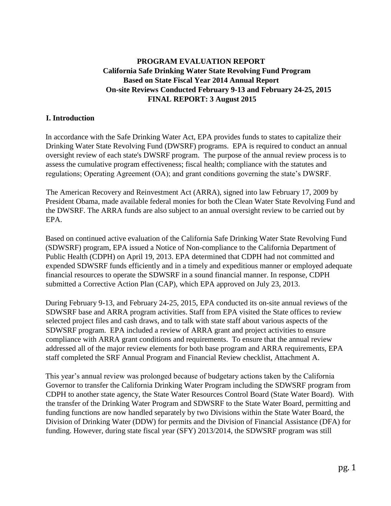## **PROGRAM EVALUATION REPORT California Safe Drinking Water State Revolving Fund Program Based on State Fiscal Year 2014 Annual Report On-site Reviews Conducted February 9-13 and February 24-25, 2015 FINAL REPORT: 3 August 2015**

#### **I. Introduction**

In accordance with the Safe Drinking Water Act, EPA provides funds to states to capitalize their Drinking Water State Revolving Fund (DWSRF) programs. EPA is required to conduct an annual oversight review of each state's DWSRF program. The purpose of the annual review process is to assess the cumulative program effectiveness; fiscal health; compliance with the statutes and regulations; Operating Agreement (OA); and grant conditions governing the state's DWSRF.

The American Recovery and Reinvestment Act (ARRA), signed into law February 17, 2009 by President Obama, made available federal monies for both the Clean Water State Revolving Fund and the DWSRF. The ARRA funds are also subject to an annual oversight review to be carried out by EPA.

Based on continued active evaluation of the California Safe Drinking Water State Revolving Fund (SDWSRF) program, EPA issued a Notice of Non-compliance to the California Department of Public Health (CDPH) on April 19, 2013. EPA determined that CDPH had not committed and expended SDWSRF funds efficiently and in a timely and expeditious manner or employed adequate financial resources to operate the SDWSRF in a sound financial manner. In response, CDPH submitted a Corrective Action Plan (CAP), which EPA approved on July 23, 2013.

During February 9-13, and February 24-25, 2015, EPA conducted its on-site annual reviews of the SDWSRF base and ARRA program activities. Staff from EPA visited the State offices to review selected project files and cash draws, and to talk with state staff about various aspects of the SDWSRF program. EPA included a review of ARRA grant and project activities to ensure compliance with ARRA grant conditions and requirements. To ensure that the annual review addressed all of the major review elements for both base program and ARRA requirements, EPA staff completed the SRF Annual Program and Financial Review checklist, Attachment A.

This year's annual review was prolonged because of budgetary actions taken by the California Governor to transfer the California Drinking Water Program including the SDWSRF program from CDPH to another state agency, the State Water Resources Control Board (State Water Board). With the transfer of the Drinking Water Program and SDWSRF to the State Water Board, permitting and funding functions are now handled separately by two Divisions within the State Water Board, the Division of Drinking Water (DDW) for permits and the Division of Financial Assistance (DFA) for funding. However, during state fiscal year (SFY) 2013/2014, the SDWSRF program was still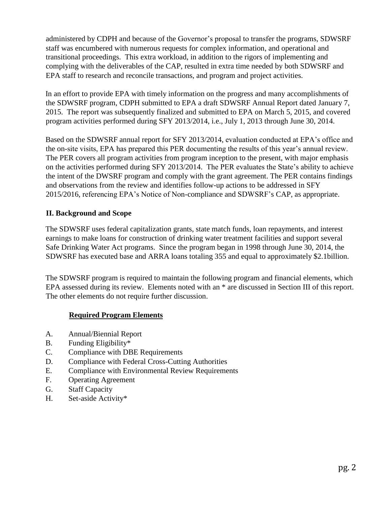administered by CDPH and because of the Governor's proposal to transfer the programs, SDWSRF staff was encumbered with numerous requests for complex information, and operational and transitional proceedings. This extra workload, in addition to the rigors of implementing and complying with the deliverables of the CAP, resulted in extra time needed by both SDWSRF and EPA staff to research and reconcile transactions, and program and project activities.

In an effort to provide EPA with timely information on the progress and many accomplishments of the SDWSRF program, CDPH submitted to EPA a draft SDWSRF Annual Report dated January 7, 2015. The report was subsequently finalized and submitted to EPA on March 5, 2015, and covered program activities performed during SFY 2013/2014, i.e., July 1, 2013 through June 30, 2014.

Based on the SDWSRF annual report for SFY 2013/2014, evaluation conducted at EPA's office and the on-site visits, EPA has prepared this PER documenting the results of this year's annual review. The PER covers all program activities from program inception to the present, with major emphasis on the activities performed during SFY 2013/2014. The PER evaluates the State's ability to achieve the intent of the DWSRF program and comply with the grant agreement. The PER contains findings and observations from the review and identifies follow-up actions to be addressed in SFY 2015/2016, referencing EPA's Notice of Non-compliance and SDWSRF's CAP, as appropriate.

## **II. Background and Scope**

The SDWSRF uses federal capitalization grants, state match funds, loan repayments, and interest earnings to make loans for construction of drinking water treatment facilities and support several Safe Drinking Water Act programs. Since the program began in 1998 through June 30, 2014, the SDWSRF has executed base and ARRA loans totaling 355 and equal to approximately \$2.1billion.

The SDWSRF program is required to maintain the following program and financial elements, which EPA assessed during its review. Elements noted with an \* are discussed in Section III of this report. The other elements do not require further discussion.

## **Required Program Elements**

- A. Annual/Biennial Report
- B. Funding Eligibility\*
- C. Compliance with DBE Requirements
- D. Compliance with Federal Cross-Cutting Authorities
- E. Compliance with Environmental Review Requirements
- F. Operating Agreement
- G. Staff Capacity
- H. Set-aside Activity\*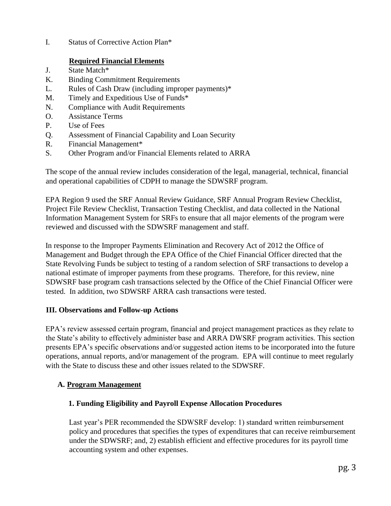I. Status of Corrective Action Plan\*

## **Required Financial Elements**

- J. State Match\*
- K. Binding Commitment Requirements
- L. Rules of Cash Draw (including improper payments)\*
- M. Timely and Expeditious Use of Funds\*
- N. Compliance with Audit Requirements
- O. Assistance Terms
- P. Use of Fees
- Q. Assessment of Financial Capability and Loan Security
- R. Financial Management\*
- S. Other Program and/or Financial Elements related to ARRA

The scope of the annual review includes consideration of the legal, managerial, technical, financial and operational capabilities of CDPH to manage the SDWSRF program.

EPA Region 9 used the SRF Annual Review Guidance, SRF Annual Program Review Checklist, Project File Review Checklist, Transaction Testing Checklist, and data collected in the National Information Management System for SRFs to ensure that all major elements of the program were reviewed and discussed with the SDWSRF management and staff.

In response to the Improper Payments Elimination and Recovery Act of 2012 the Office of Management and Budget through the EPA Office of the Chief Financial Officer directed that the State Revolving Funds be subject to testing of a random selection of SRF transactions to develop a national estimate of improper payments from these programs. Therefore, for this review, nine SDWSRF base program cash transactions selected by the Office of the Chief Financial Officer were tested. In addition, two SDWSRF ARRA cash transactions were tested.

## **III. Observations and Follow-up Actions**

EPA's review assessed certain program, financial and project management practices as they relate to the State's ability to effectively administer base and ARRA DWSRF program activities. This section presents EPA's specific observations and/or suggested action items to be incorporated into the future operations, annual reports, and/or management of the program. EPA will continue to meet regularly with the State to discuss these and other issues related to the SDWSRF.

# **A. Program Management**

## **1. Funding Eligibility and Payroll Expense Allocation Procedures**

Last year's PER recommended the SDWSRF develop: 1) standard written reimbursement policy and procedures that specifies the types of expenditures that can receive reimbursement under the SDWSRF; and, 2) establish efficient and effective procedures for its payroll time accounting system and other expenses.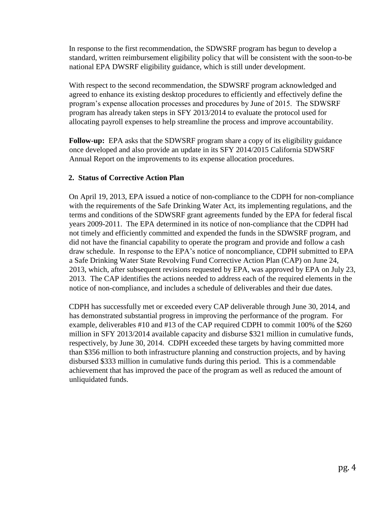In response to the first recommendation, the SDWSRF program has begun to develop a standard, written reimbursement eligibility policy that will be consistent with the soon-to-be national EPA DWSRF eligibility guidance, which is still under development.

With respect to the second recommendation, the SDWSRF program acknowledged and agreed to enhance its existing desktop procedures to efficiently and effectively define the program's expense allocation processes and procedures by June of 2015. The SDWSRF program has already taken steps in SFY 2013/2014 to evaluate the protocol used for allocating payroll expenses to help streamline the process and improve accountability.

**Follow-up:** EPA asks that the SDWSRF program share a copy of its eligibility guidance once developed and also provide an update in its SFY 2014/2015 California SDWSRF Annual Report on the improvements to its expense allocation procedures.

### **2. Status of Corrective Action Plan**

On April 19, 2013, EPA issued a notice of non-compliance to the CDPH for non-compliance with the requirements of the Safe Drinking Water Act, its implementing regulations, and the terms and conditions of the SDWSRF grant agreements funded by the EPA for federal fiscal years 2009-2011. The EPA determined in its notice of non-compliance that the CDPH had not timely and efficiently committed and expended the funds in the SDWSRF program, and did not have the financial capability to operate the program and provide and follow a cash draw schedule. In response to the EPA's notice of noncompliance, CDPH submitted to EPA a Safe Drinking Water State Revolving Fund Corrective Action Plan (CAP) on June 24, 2013, which, after subsequent revisions requested by EPA, was approved by EPA on July 23, 2013. The CAP identifies the actions needed to address each of the required elements in the notice of non-compliance, and includes a schedule of deliverables and their due dates.

CDPH has successfully met or exceeded every CAP deliverable through June 30, 2014, and has demonstrated substantial progress in improving the performance of the program. For example, deliverables #10 and #13 of the CAP required CDPH to commit 100% of the \$260 million in SFY 2013/2014 available capacity and disburse \$321 million in cumulative funds, respectively, by June 30, 2014. CDPH exceeded these targets by having committed more than \$356 million to both infrastructure planning and construction projects, and by having disbursed \$333 million in cumulative funds during this period. This is a commendable achievement that has improved the pace of the program as well as reduced the amount of unliquidated funds.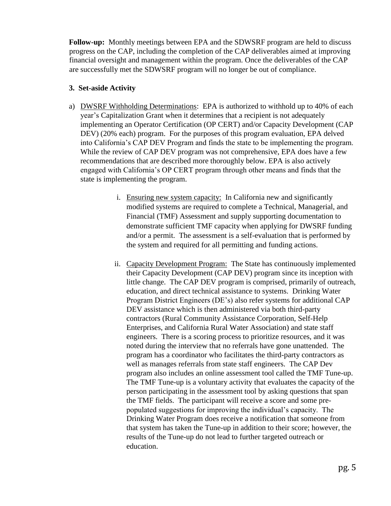**Follow-up:** Monthly meetings between EPA and the SDWSRF program are held to discuss progress on the CAP, including the completion of the CAP deliverables aimed at improving financial oversight and management within the program. Once the deliverables of the CAP are successfully met the SDWSRF program will no longer be out of compliance.

### **3. Set-aside Activity**

- a) DWSRF Withholding Determinations: EPA is authorized to withhold up to 40% of each year's Capitalization Grant when it determines that a recipient is not adequately implementing an Operator Certification (OP CERT) and/or Capacity Development (CAP DEV) (20% each) program. For the purposes of this program evaluation, EPA delved into California's CAP DEV Program and finds the state to be implementing the program. While the review of CAP DEV program was not comprehensive, EPA does have a few recommendations that are described more thoroughly below. EPA is also actively engaged with California's OP CERT program through other means and finds that the state is implementing the program.
	- i. Ensuring new system capacity: In California new and significantly modified systems are required to complete a Technical, Managerial, and Financial (TMF) Assessment and supply supporting documentation to demonstrate sufficient TMF capacity when applying for DWSRF funding and/or a permit. The assessment is a self-evaluation that is performed by the system and required for all permitting and funding actions.
	- ii. Capacity Development Program: The State has continuously implemented their Capacity Development (CAP DEV) program since its inception with little change. The CAP DEV program is comprised, primarily of outreach, education, and direct technical assistance to systems. Drinking Water Program District Engineers (DE's) also refer systems for additional CAP DEV assistance which is then administered via both third-party contractors (Rural Community Assistance Corporation, Self-Help Enterprises, and California Rural Water Association) and state staff engineers. There is a scoring process to prioritize resources, and it was noted during the interview that no referrals have gone unattended. The program has a coordinator who facilitates the third-party contractors as well as manages referrals from state staff engineers. The CAP Dev program also includes an online assessment tool called the TMF Tune-up. The TMF Tune-up is a voluntary activity that evaluates the capacity of the person participating in the assessment tool by asking questions that span the TMF fields. The participant will receive a score and some prepopulated suggestions for improving the individual's capacity. The Drinking Water Program does receive a notification that someone from that system has taken the Tune-up in addition to their score; however, the results of the Tune-up do not lead to further targeted outreach or education.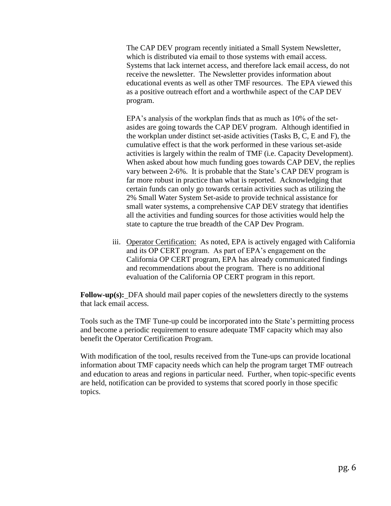The CAP DEV program recently initiated a Small System Newsletter, which is distributed via email to those systems with email access. Systems that lack internet access, and therefore lack email access, do not receive the newsletter. The Newsletter provides information about educational events as well as other TMF resources. The EPA viewed this as a positive outreach effort and a worthwhile aspect of the CAP DEV program.

EPA's analysis of the workplan finds that as much as 10% of the setasides are going towards the CAP DEV program. Although identified in the workplan under distinct set-aside activities (Tasks B, C, E and F), the cumulative effect is that the work performed in these various set-aside activities is largely within the realm of TMF (i.e. Capacity Development). When asked about how much funding goes towards CAP DEV, the replies vary between 2-6%. It is probable that the State's CAP DEV program is far more robust in practice than what is reported. Acknowledging that certain funds can only go towards certain activities such as utilizing the 2% Small Water System Set-aside to provide technical assistance for small water systems, a comprehensive CAP DEV strategy that identifies all the activities and funding sources for those activities would help the state to capture the true breadth of the CAP Dev Program.

iii. Operator Certification: As noted, EPA is actively engaged with California and its OP CERT program. As part of EPA's engagement on the California OP CERT program, EPA has already communicated findings and recommendations about the program. There is no additional evaluation of the California OP CERT program in this report.

**Follow-up(s):** DFA should mail paper copies of the newsletters directly to the systems that lack email access.

Tools such as the TMF Tune-up could be incorporated into the State's permitting process and become a periodic requirement to ensure adequate TMF capacity which may also benefit the Operator Certification Program.

With modification of the tool, results received from the Tune-ups can provide locational information about TMF capacity needs which can help the program target TMF outreach and education to areas and regions in particular need. Further, when topic-specific events are held, notification can be provided to systems that scored poorly in those specific topics.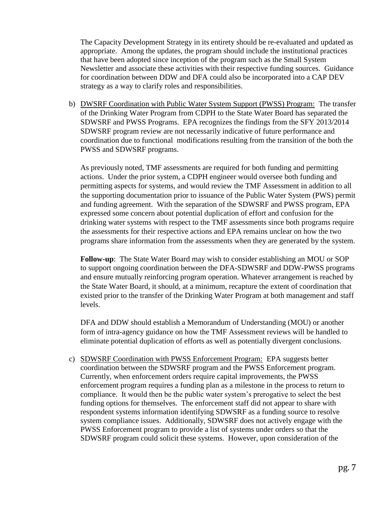The Capacity Development Strategy in its entirety should be re-evaluated and updated as appropriate. Among the updates, the program should include the institutional practices that have been adopted since inception of the program such as the Small System Newsletter and associate these activities with their respective funding sources. Guidance for coordination between DDW and DFA could also be incorporated into a CAP DEV strategy as a way to clarify roles and responsibilities.

b) DWSRF Coordination with Public Water System Support (PWSS) Program: The transfer of the Drinking Water Program from CDPH to the State Water Board has separated the SDWSRF and PWSS Programs. EPA recognizes the findings from the SFY 2013/2014 SDWSRF program review are not necessarily indicative of future performance and coordination due to functional modifications resulting from the transition of the both the PWSS and SDWSRF programs.

As previously noted, TMF assessments are required for both funding and permitting actions. Under the prior system, a CDPH engineer would oversee both funding and permitting aspects for systems, and would review the TMF Assessment in addition to all the supporting documentation prior to issuance of the Public Water System (PWS) permit and funding agreement. With the separation of the SDWSRF and PWSS program, EPA expressed some concern about potential duplication of effort and confusion for the drinking water systems with respect to the TMF assessments since both programs require the assessments for their respective actions and EPA remains unclear on how the two programs share information from the assessments when they are generated by the system.

**Follow-up**: The State Water Board may wish to consider establishing an MOU or SOP to support ongoing coordination between the DFA-SDWSRF and DDW-PWSS programs and ensure mutually reinforcing program operation. Whatever arrangement is reached by the State Water Board, it should, at a minimum, recapture the extent of coordination that existed prior to the transfer of the Drinking Water Program at both management and staff levels.

DFA and DDW should establish a Memorandum of Understanding (MOU) or another form of intra-agency guidance on how the TMF Assessment reviews will be handled to eliminate potential duplication of efforts as well as potentially divergent conclusions.

c) SDWSRF Coordination with PWSS Enforcement Program: EPA suggests better coordination between the SDWSRF program and the PWSS Enforcement program. Currently, when enforcement orders require capital improvements, the PWSS enforcement program requires a funding plan as a milestone in the process to return to compliance. It would then be the public water system's prerogative to select the best funding options for themselves. The enforcement staff did not appear to share with respondent systems information identifying SDWSRF as a funding source to resolve system compliance issues. Additionally, SDWSRF does not actively engage with the PWSS Enforcement program to provide a list of systems under orders so that the SDWSRF program could solicit these systems. However, upon consideration of the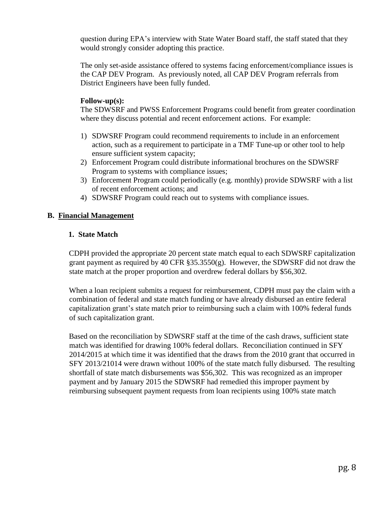question during EPA's interview with State Water Board staff, the staff stated that they would strongly consider adopting this practice.

The only set-aside assistance offered to systems facing enforcement/compliance issues is the CAP DEV Program. As previously noted, all CAP DEV Program referrals from District Engineers have been fully funded.

#### **Follow-up(s):**

The SDWSRF and PWSS Enforcement Programs could benefit from greater coordination where they discuss potential and recent enforcement actions. For example:

- 1) SDWSRF Program could recommend requirements to include in an enforcement action, such as a requirement to participate in a TMF Tune-up or other tool to help ensure sufficient system capacity;
- 2) Enforcement Program could distribute informational brochures on the SDWSRF Program to systems with compliance issues;
- 3) Enforcement Program could periodically (e.g. monthly) provide SDWSRF with a list of recent enforcement actions; and
- 4) SDWSRF Program could reach out to systems with compliance issues.

#### **B. Financial Management**

#### **1. State Match**

CDPH provided the appropriate 20 percent state match equal to each SDWSRF capitalization grant payment as required by 40 CFR  $\S 35.3550(g)$ . However, the SDWSRF did not draw the state match at the proper proportion and overdrew federal dollars by \$56,302.

When a loan recipient submits a request for reimbursement, CDPH must pay the claim with a combination of federal and state match funding or have already disbursed an entire federal capitalization grant's state match prior to reimbursing such a claim with 100% federal funds of such capitalization grant.

Based on the reconciliation by SDWSRF staff at the time of the cash draws, sufficient state match was identified for drawing 100% federal dollars. Reconciliation continued in SFY 2014/2015 at which time it was identified that the draws from the 2010 grant that occurred in SFY 2013/21014 were drawn without 100% of the state match fully disbursed. The resulting shortfall of state match disbursements was \$56,302. This was recognized as an improper payment and by January 2015 the SDWSRF had remedied this improper payment by reimbursing subsequent payment requests from loan recipients using 100% state match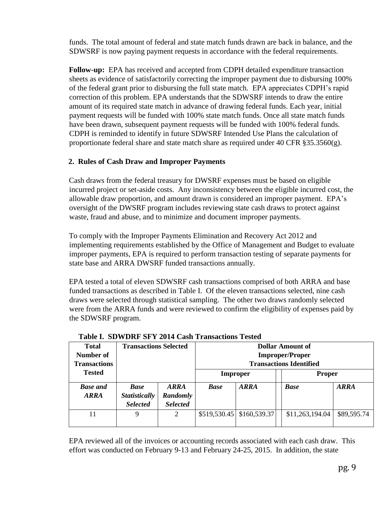funds. The total amount of federal and state match funds drawn are back in balance, and the SDWSRF is now paying payment requests in accordance with the federal requirements.

**Follow-up:** EPA has received and accepted from CDPH detailed expenditure transaction sheets as evidence of satisfactorily correcting the improper payment due to disbursing 100% of the federal grant prior to disbursing the full state match. EPA appreciates CDPH's rapid correction of this problem. EPA understands that the SDWSRF intends to draw the entire amount of its required state match in advance of drawing federal funds. Each year, initial payment requests will be funded with 100% state match funds. Once all state match funds have been drawn, subsequent payment requests will be funded with 100% federal funds. CDPH is reminded to identify in future SDWSRF Intended Use Plans the calculation of proportionate federal share and state match share as required under 40 CFR  $\S 35.3560(g)$ .

### **2. Rules of Cash Draw and Improper Payments**

Cash draws from the federal treasury for DWSRF expenses must be based on eligible incurred project or set-aside costs. Any inconsistency between the eligible incurred cost, the allowable draw proportion, and amount drawn is considered an improper payment. EPA's oversight of the DWSRF program includes reviewing state cash draws to protect against waste, fraud and abuse, and to minimize and document improper payments.

To comply with the Improper Payments Elimination and Recovery Act 2012 and implementing requirements established by the Office of Management and Budget to evaluate improper payments, EPA is required to perform transaction testing of separate payments for state base and ARRA DWSRF funded transactions annually.

EPA tested a total of eleven SDWSRF cash transactions comprised of both ARRA and base funded transactions as described in Table I. Of the eleven transactions selected, nine cash draws were selected through statistical sampling. The other two draws randomly selected were from the ARRA funds and were reviewed to confirm the eligibility of expenses paid by the SDWSRF program.

| <b>Total</b><br>Number of<br><b>Transactions</b> | <b>Transactions Selected</b>                           |                                            | Dollar Amount of<br><b>Improper/Proper</b><br><b>Transactions Identified</b> |              |             |                 |             |
|--------------------------------------------------|--------------------------------------------------------|--------------------------------------------|------------------------------------------------------------------------------|--------------|-------------|-----------------|-------------|
| <b>Tested</b>                                    |                                                        |                                            | Improper                                                                     |              |             | <b>Proper</b>   |             |
| <b>Base and</b><br><b>ARRA</b>                   | <b>Base</b><br><b>Statistically</b><br><b>Selected</b> | <b>ARRA</b><br>Randomly<br><b>Selected</b> | <b>Base</b>                                                                  | <b>ARRA</b>  | <b>Base</b> |                 | <b>ARRA</b> |
| 11                                               | 9                                                      | 2                                          | \$519,530.45                                                                 | \$160,539.37 |             | \$11,263,194.04 | \$89,595.74 |

 **Table I. SDWDRF SFY 2014 Cash Transactions Tested** 

EPA reviewed all of the invoices or accounting records associated with each cash draw. This effort was conducted on February 9-13 and February 24-25, 2015. In addition, the state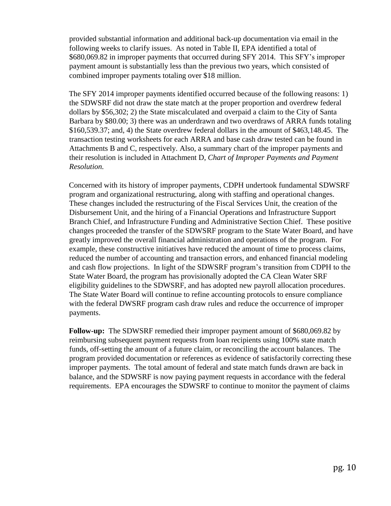provided substantial information and additional back-up documentation via email in the following weeks to clarify issues. As noted in Table II, EPA identified a total of \$680,069.82 in improper payments that occurred during SFY 2014. This SFY's improper payment amount is substantially less than the previous two years, which consisted of combined improper payments totaling over \$18 million.

The SFY 2014 improper payments identified occurred because of the following reasons: 1) the SDWSRF did not draw the state match at the proper proportion and overdrew federal dollars by \$56,302; 2) the State miscalculated and overpaid a claim to the City of Santa Barbara by \$80.00; 3) there was an underdrawn and two overdraws of ARRA funds totaling \$160,539.37; and, 4) the State overdrew federal dollars in the amount of \$463,148.45. The transaction testing worksheets for each ARRA and base cash draw tested can be found in Attachments B and C, respectively. Also, a summary chart of the improper payments and their resolution is included in Attachment D, *Chart of Improper Payments and Payment Resolution.*

Concerned with its history of improper payments, CDPH undertook fundamental SDWSRF program and organizational restructuring, along with staffing and operational changes. These changes included the restructuring of the Fiscal Services Unit, the creation of the Disbursement Unit, and the hiring of a Financial Operations and Infrastructure Support Branch Chief, and Infrastructure Funding and Administrative Section Chief. These positive changes proceeded the transfer of the SDWSRF program to the State Water Board, and have greatly improved the overall financial administration and operations of the program. For example, these constructive initiatives have reduced the amount of time to process claims, reduced the number of accounting and transaction errors, and enhanced financial modeling and cash flow projections. In light of the SDWSRF program's transition from CDPH to the State Water Board, the program has provisionally adopted the CA Clean Water SRF eligibility guidelines to the SDWSRF, and has adopted new payroll allocation procedures. The State Water Board will continue to refine accounting protocols to ensure compliance with the federal DWSRF program cash draw rules and reduce the occurrence of improper payments.

**Follow-up:** The SDWSRF remedied their improper payment amount of \$680,069.82 by reimbursing subsequent payment requests from loan recipients using 100% state match funds, off-setting the amount of a future claim, or reconciling the account balances. The program provided documentation or references as evidence of satisfactorily correcting these improper payments. The total amount of federal and state match funds drawn are back in balance, and the SDWSRF is now paying payment requests in accordance with the federal requirements. EPA encourages the SDWSRF to continue to monitor the payment of claims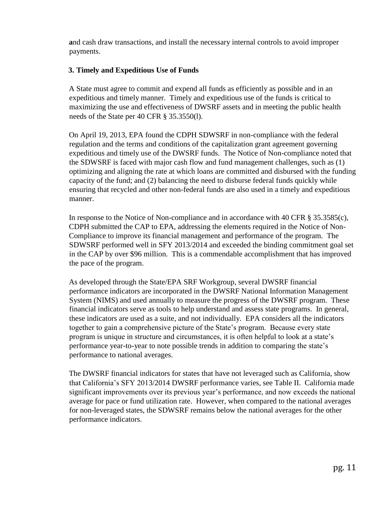**a**nd cash draw transactions, and install the necessary internal controls to avoid improper payments.

### **3. Timely and Expeditious Use of Funds**

A State must agree to commit and expend all funds as efficiently as possible and in an expeditious and timely manner. Timely and expeditious use of the funds is critical to maximizing the use and effectiveness of DWSRF assets and in meeting the public health needs of the State per 40 CFR § 35.3550(l).

On April 19, 2013, EPA found the CDPH SDWSRF in non-compliance with the federal regulation and the terms and conditions of the capitalization grant agreement governing expeditious and timely use of the DWSRF funds. The Notice of Non-compliance noted that the SDWSRF is faced with major cash flow and fund management challenges, such as (1) optimizing and aligning the rate at which loans are committed and disbursed with the funding capacity of the fund; and (2) balancing the need to disburse federal funds quickly while ensuring that recycled and other non-federal funds are also used in a timely and expeditious manner.

In response to the Notice of Non-compliance and in accordance with 40 CFR § 35.3585(c), CDPH submitted the CAP to EPA, addressing the elements required in the Notice of Non-Compliance to improve its financial management and performance of the program. The SDWSRF performed well in SFY 2013/2014 and exceeded the binding commitment goal set in the CAP by over \$96 million. This is a commendable accomplishment that has improved the pace of the program.

As developed through the State/EPA SRF Workgroup, several DWSRF financial performance indicators are incorporated in the DWSRF National Information Management System (NIMS) and used annually to measure the progress of the DWSRF program. These financial indicators serve as tools to help understand and assess state programs. In general, these indicators are used as a suite, and not individually. EPA considers all the indicators together to gain a comprehensive picture of the State's program. Because every state program is unique in structure and circumstances, it is often helpful to look at a state's performance year-to-year to note possible trends in addition to comparing the state's performance to national averages.

The DWSRF financial indicators for states that have not leveraged such as California, show that California's SFY 2013/2014 DWSRF performance varies, see Table II. California made significant improvements over its previous year's performance, and now exceeds the national average for pace or fund utilization rate. However, when compared to the national averages for non-leveraged states, the SDWSRF remains below the national averages for the other performance indicators.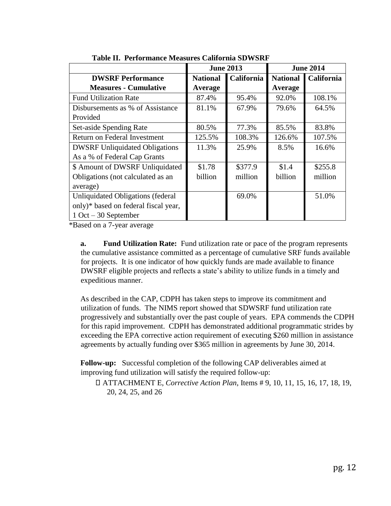|                                       | <b>June 2013</b> |                   | <b>June 2014</b> |            |
|---------------------------------------|------------------|-------------------|------------------|------------|
| <b>DWSRF Performance</b>              | <b>National</b>  | <b>California</b> | <b>National</b>  | California |
| <b>Measures - Cumulative</b>          | Average          |                   | Average          |            |
| <b>Fund Utilization Rate</b>          | 87.4%            | 95.4%             | 92.0%            | 108.1%     |
| Disbursements as % of Assistance      | 81.1%            | 67.9%             | 79.6%            | 64.5%      |
| Provided                              |                  |                   |                  |            |
| Set-aside Spending Rate               | 80.5%            | 77.3%             | 85.5%            | 83.8%      |
| Return on Federal Investment          | 125.5%           | 108.3%            | 126.6%           | 107.5%     |
| <b>DWSRF Unliquidated Obligations</b> | 11.3%            | 25.9%             | 8.5%             | 16.6%      |
| As a % of Federal Cap Grants          |                  |                   |                  |            |
| \$ Amount of DWSRF Unliquidated       | \$1.78           | \$377.9           | \$1.4            | \$255.8    |
| Obligations (not calculated as an     | billion          | million           | billion          | million    |
| average)                              |                  |                   |                  |            |
| Unliquidated Obligations (federal     |                  | 69.0%             |                  | 51.0%      |
| only)* based on federal fiscal year,  |                  |                   |                  |            |
| $1 \text{ Oct} - 30$ September        |                  |                   |                  |            |

**Table II. Performance Measures California SDWSRF** 

\*Based on a 7-year average

**a. Fund Utilization Rate:** Fund utilization rate or pace of the program represents the cumulative assistance committed as a percentage of cumulative SRF funds available for projects. It is one indicator of how quickly funds are made available to finance DWSRF eligible projects and reflects a state's ability to utilize funds in a timely and expeditious manner.

As described in the CAP, CDPH has taken steps to improve its commitment and utilization of funds. The NIMS report showed that SDWSRF fund utilization rate progressively and substantially over the past couple of years. EPA commends the CDPH for this rapid improvement. CDPH has demonstrated additional programmatic strides by exceeding the EPA corrective action requirement of executing \$260 million in assistance agreements by actually funding over \$365 million in agreements by June 30, 2014.

**Follow-up:** Successful completion of the following CAP deliverables aimed at improving fund utilization will satisfy the required follow-up:

ATTACHMENT E, *Corrective Action Plan*, Items # 9, 10, 11, 15, 16, 17, 18, 19, 20, 24, 25, and 26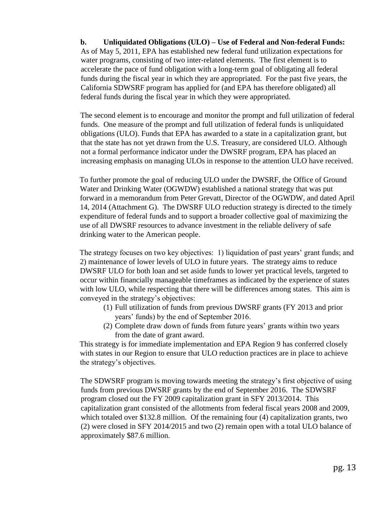**b. Unliquidated Obligations (ULO) – Use of Federal and Non-federal Funds:**  As of May 5, 2011, EPA has established new federal fund utilization expectations for water programs, consisting of two inter-related elements. The first element is to accelerate the pace of fund obligation with a long-term goal of obligating all federal funds during the fiscal year in which they are appropriated. For the past five years, the California SDWSRF program has applied for (and EPA has therefore obligated) all federal funds during the fiscal year in which they were appropriated.

The second element is to encourage and monitor the prompt and full utilization of federal funds. One measure of the prompt and full utilization of federal funds is unliquidated obligations (ULO). Funds that EPA has awarded to a state in a capitalization grant, but that the state has not yet drawn from the U.S. Treasury, are considered ULO. Although not a formal performance indicator under the DWSRF program, EPA has placed an increasing emphasis on managing ULOs in response to the attention ULO have received.

To further promote the goal of reducing ULO under the DWSRF, the Office of Ground Water and Drinking Water (OGWDW) established a national strategy that was put forward in a memorandum from Peter Grevatt, Director of the OGWDW, and dated April 14, 2014 (Attachment G). The DWSRF ULO reduction strategy is directed to the timely expenditure of federal funds and to support a broader collective goal of maximizing the use of all DWSRF resources to advance investment in the reliable delivery of safe drinking water to the American people.

The strategy focuses on two key objectives: 1) liquidation of past years' grant funds; and 2) maintenance of lower levels of ULO in future years. The strategy aims to reduce DWSRF ULO for both loan and set aside funds to lower yet practical levels, targeted to occur within financially manageable timeframes as indicated by the experience of states with low ULO, while respecting that there will be differences among states. This aim is conveyed in the strategy's objectives:

- (1) Full utilization of funds from previous DWSRF grants (FY 2013 and prior years' funds) by the end of September 2016.
- (2) Complete draw down of funds from future years' grants within two years from the date of grant award.

This strategy is for immediate implementation and EPA Region 9 has conferred closely with states in our Region to ensure that ULO reduction practices are in place to achieve the strategy's objectives.

The SDWSRF program is moving towards meeting the strategy's first objective of using funds from previous DWSRF grants by the end of September 2016. The SDWSRF program closed out the FY 2009 capitalization grant in SFY 2013/2014. This capitalization grant consisted of the allotments from federal fiscal years 2008 and 2009, which totaled over \$132.8 million. Of the remaining four (4) capitalization grants, two (2) were closed in SFY 2014/2015 and two (2) remain open with a total ULO balance of approximately \$87.6 million.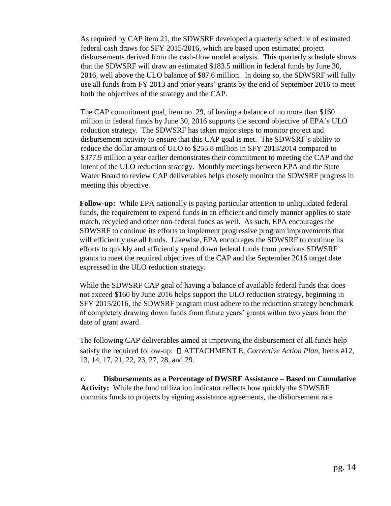As required by CAP item 21, the SDWSRF developed a quarterly schedule of estimated federal cash draws for SFY 2015/2016, which are based upon estimated project disbursements derived from the cash-flow model analysis. This quarterly schedule shows that the SDWSRF will draw an estimated \$183.5 million in federal funds by June 30, 2016, well above the ULO balance of \$87.6 million. In doing so, the SDWSRF will fully use all funds from FY 2013 and prior years' grants by the end of September 2016 to meet both the objectives of the strategy and the CAP.

The CAP commitment goal, item no. 29, of having a balance of no more than \$160 million in federal funds by June 30, 2016 supports the second objective of EPA's ULO reduction strategy. The SDWSRF has taken major steps to monitor project and disbursement activity to ensure that this CAP goal is met. The SDWSRF's ability to reduce the dollar amount of ULO to \$255.8 million in SFY 2013/2014 compared to \$377.9 million a year earlier demonstrates their commitment to meeting the CAP and the intent of the ULO reduction strategy. Monthly meetings between EPA and the State Water Board to review CAP deliverables helps closely monitor the SDWSRF progress in meeting this objective.

**Follow-up:** While EPA nationally is paying particular attention to unliquidated federal funds, the requirement to expend funds in an efficient and timely manner applies to state match, recycled and other non-federal funds as well. As such, EPA encourages the SDWSRF to continue its efforts to implement progressive program improvements that will efficiently use all funds. Likewise, EPA encourages the SDWSRF to continue its efforts to quickly and efficiently spend down federal funds from previous SDWSRF grants to meet the required objectives of the CAP and the September 2016 target date expressed in the ULO reduction strategy.

While the SDWSRF CAP goal of having a balance of available federal funds that does not exceed \$160 by June 2016 helps support the ULO reduction strategy, beginning in SFY 2015/2016, the SDWSRF program must adhere to the reduction strategy benchmark of completely drawing down funds from future years' grants within two years from the date of grant award.

The following CAP deliverables aimed at improving the disbursement of all funds help satisfy the required follow-up:  $\Box$  ATTACHMENT E, *Corrective Action Plan*, Items #12, 13, 14, 17, 21, 22, 23, 27, 28, and 29.

**c. Disbursements as a Percentage of DWSRF Assistance – Based on Cumulative Activity:** While the fund utilization indicator reflects how quickly the SDWSRF commits funds to projects by signing assistance agreements, the disbursement rate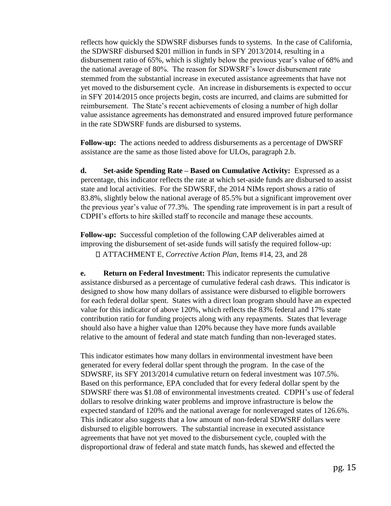reflects how quickly the SDWSRF disburses funds to systems. In the case of California, the SDWSRF disbursed \$201 million in funds in SFY 2013/2014, resulting in a disbursement ratio of 65%, which is slightly below the previous year's value of 68% and the national average of 80%. The reason for SDWSRF's lower disbursement rate stemmed from the substantial increase in executed assistance agreements that have not yet moved to the disbursement cycle. An increase in disbursements is expected to occur in SFY 2014/2015 once projects begin, costs are incurred, and claims are submitted for reimbursement. The State's recent achievements of closing a number of high dollar value assistance agreements has demonstrated and ensured improved future performance in the rate SDWSRF funds are disbursed to systems.

**Follow-up:** The actions needed to address disbursements as a percentage of DWSRF assistance are the same as those listed above for ULOs, paragraph 2.b.

**d. Set-aside Spending Rate – Based on Cumulative Activity:** Expressed as a percentage, this indicator reflects the rate at which set-aside funds are disbursed to assist state and local activities. For the SDWSRF, the 2014 NIMs report shows a ratio of 83.8%, slightly below the national average of 85.5% but a significant improvement over the previous year's value of 77.3%. The spending rate improvement is in part a result of CDPH's efforts to hire skilled staff to reconcile and manage these accounts.

**Follow-up:** Successful completion of the following CAP deliverables aimed at improving the disbursement of set-aside funds will satisfy the required follow-up: ATTACHMENT E, *Corrective Action Plan*, Items #14, 23, and 28

**e. Return on Federal Investment:** This indicator represents the cumulative assistance disbursed as a percentage of cumulative federal cash draws. This indicator is designed to show how many dollars of assistance were disbursed to eligible borrowers for each federal dollar spent. States with a direct loan program should have an expected value for this indicator of above 120%, which reflects the 83% federal and 17% state contribution ratio for funding projects along with any repayments. States that leverage should also have a higher value than 120% because they have more funds available relative to the amount of federal and state match funding than non-leveraged states.

This indicator estimates how many dollars in environmental investment have been generated for every federal dollar spent through the program. In the case of the SDWSRF, its SFY 2013/2014 cumulative return on federal investment was 107.5%. Based on this performance, EPA concluded that for every federal dollar spent by the SDWSRF there was \$1.08 of environmental investments created. CDPH's use of federal dollars to resolve drinking water problems and improve infrastructure is below the expected standard of 120% and the national average for nonleveraged states of 126.6%. This indicator also suggests that a low amount of non-federal SDWSRF dollars were disbursed to eligible borrowers. The substantial increase in executed assistance agreements that have not yet moved to the disbursement cycle, coupled with the disproportional draw of federal and state match funds, has skewed and effected the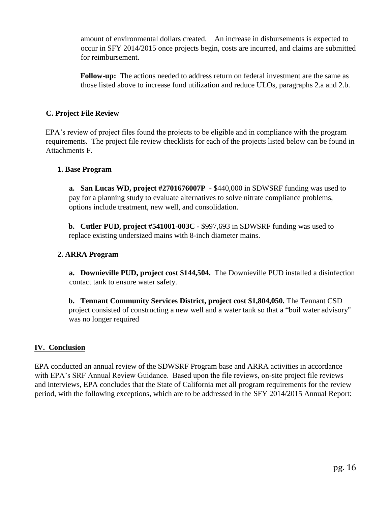amount of environmental dollars created. An increase in disbursements is expected to occur in SFY 2014/2015 once projects begin, costs are incurred, and claims are submitted for reimbursement.

**Follow-up:** The actions needed to address return on federal investment are the same as those listed above to increase fund utilization and reduce ULOs, paragraphs 2.a and 2.b.

### **C. Project File Review**

EPA's review of project files found the projects to be eligible and in compliance with the program requirements. The project file review checklists for each of the projects listed below can be found in Attachments F.

#### **1. Base Program**

**a. San Lucas WD, project #2701676007P -** \$440,000 in SDWSRF funding was used to pay for a planning study to evaluate alternatives to solve nitrate compliance problems, options include treatment, new well, and consolidation.

**b. Cutler PUD, project #541001-003C -** \$997,693 in SDWSRF funding was used to replace existing undersized mains with 8-inch diameter mains.

#### **2. ARRA Program**

**a. Downieville PUD, project cost \$144,504.** The Downieville PUD installed a disinfection contact tank to ensure water safety.

**b. Tennant Community Services District, project cost \$1,804,050.** The Tennant CSD project consisted of constructing a new well and a water tank so that a "boil water advisory" was no longer required

#### **IV. Conclusion**

EPA conducted an annual review of the SDWSRF Program base and ARRA activities in accordance with EPA's SRF Annual Review Guidance. Based upon the file reviews, on-site project file reviews and interviews, EPA concludes that the State of California met all program requirements for the review period, with the following exceptions, which are to be addressed in the SFY 2014/2015 Annual Report: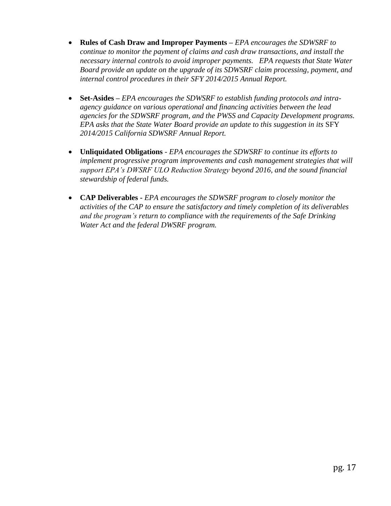- **Rules of Cash Draw and Improper Payments –** *EPA encourages the SDWSRF to continue to monitor the payment of claims and cash draw transactions, and install the necessary internal controls to avoid improper payments. EPA requests that State Water Board provide an update on the upgrade of its SDWSRF claim processing, payment, and internal control procedures in their SFY 2014/2015 Annual Report.*
- **Set-Asides –** *EPA encourages the SDWSRF to establish funding protocols and intraagency guidance on various operational and financing activities between the lead agencies for the SDWSRF program, and the PWSS and Capacity Development programs. EPA asks that the State Water Board provide an update to this suggestion in its* SFY *2014/2015 California SDWSRF Annual Report.*
- **Unliquidated Obligations** *EPA encourages the SDWSRF to continue its efforts to implement progressive program improvements and cash management strategies that will support EPA's DWSRF ULO Reduction Strategy beyond 2016, and the sound financial stewardship of federal funds.*
- **CAP Deliverables -** *EPA encourages the SDWSRF program to closely monitor the activities of the CAP to ensure the satisfactory and timely completion of its deliverables and the program's return to compliance with the requirements of the Safe Drinking Water Act and the federal DWSRF program.*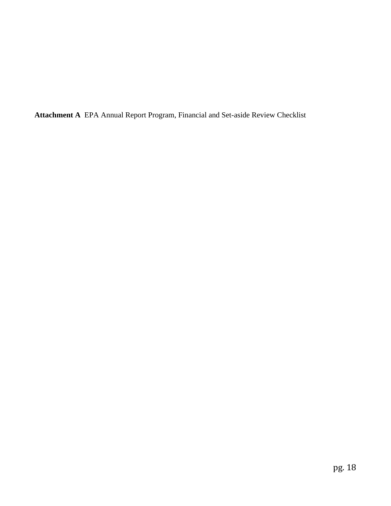**Attachment A** EPA Annual Report Program, Financial and Set-aside Review Checklist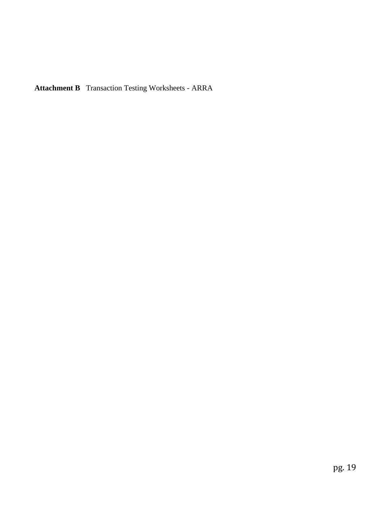**Attachment B** Transaction Testing Worksheets - ARRA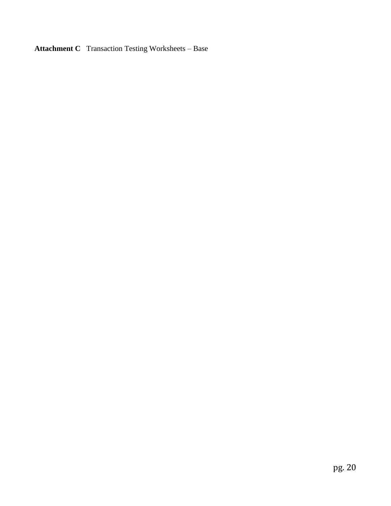**Attachment C** Transaction Testing Worksheets – Base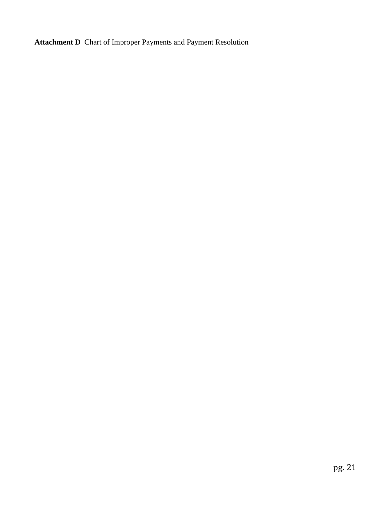**Attachment D** Chart of Improper Payments and Payment Resolution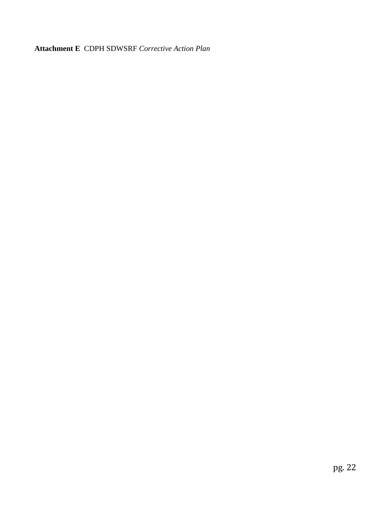**Attachment E** CDPH SDWSRF *Corrective Action Plan*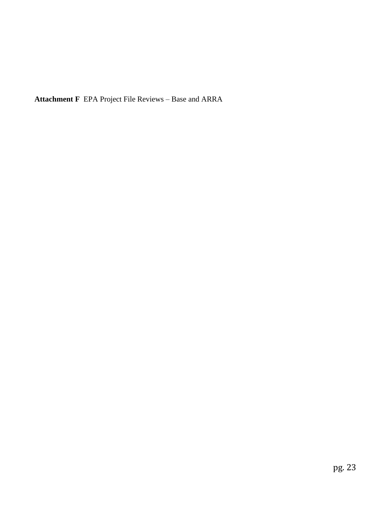**Attachment F** EPA Project File Reviews – Base and ARRA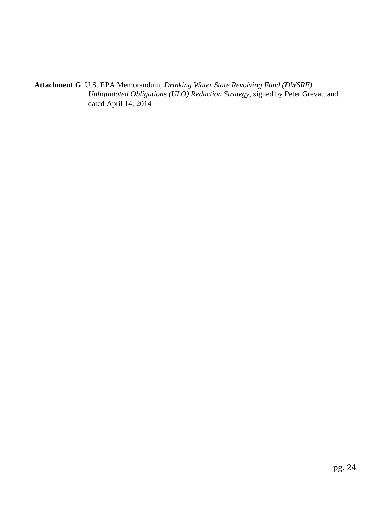**Attachment G** U.S. EPA Memorandum, *Drinking Water State Revolving Fund (DWSRF) Unliquidated Obligations (ULO) Reduction Strategy*, signed by Peter Grevatt and dated April 14, 2014